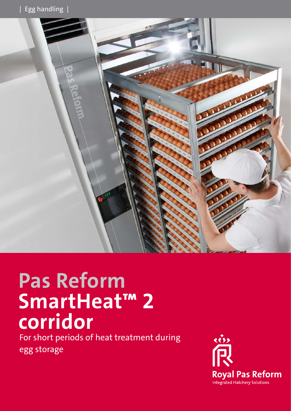

# **Pas Reform SmartHeat™ 2 corridor**

For short periods of heat treatment during egg storage